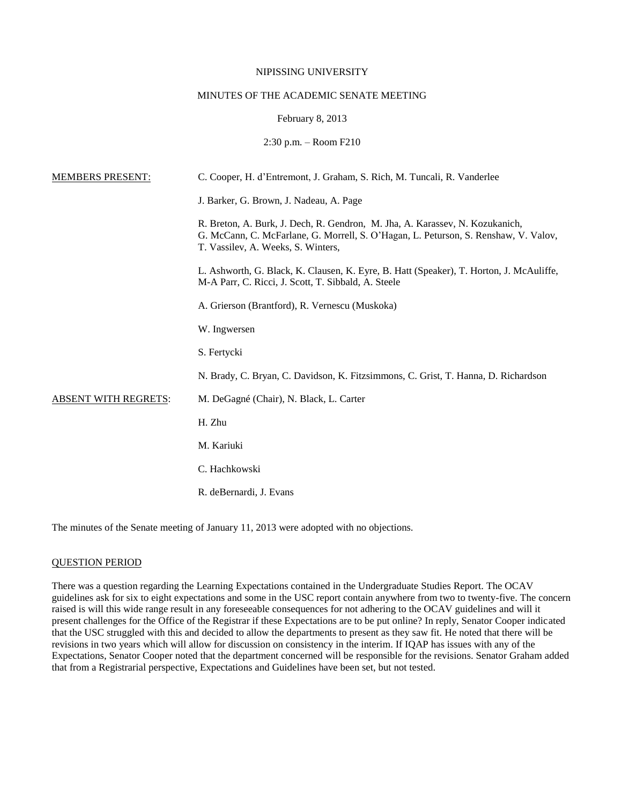### NIPISSING UNIVERSITY

# MINUTES OF THE ACADEMIC SENATE MEETING

## February 8, 2013

## 2:30 p.m. – Room F210

| <b>MEMBERS PRESENT:</b>     | C. Cooper, H. d'Entremont, J. Graham, S. Rich, M. Tuncali, R. Vanderlee                                                                                                                                   |
|-----------------------------|-----------------------------------------------------------------------------------------------------------------------------------------------------------------------------------------------------------|
|                             | J. Barker, G. Brown, J. Nadeau, A. Page                                                                                                                                                                   |
|                             | R. Breton, A. Burk, J. Dech, R. Gendron, M. Jha, A. Karassev, N. Kozukanich,<br>G. McCann, C. McFarlane, G. Morrell, S. O'Hagan, L. Peturson, S. Renshaw, V. Valov,<br>T. Vassilev, A. Weeks, S. Winters, |
|                             | L. Ashworth, G. Black, K. Clausen, K. Eyre, B. Hatt (Speaker), T. Horton, J. McAuliffe,<br>M-A Parr, C. Ricci, J. Scott, T. Sibbald, A. Steele                                                            |
|                             | A. Grierson (Brantford), R. Vernescu (Muskoka)                                                                                                                                                            |
|                             | W. Ingwersen                                                                                                                                                                                              |
|                             | S. Fertycki                                                                                                                                                                                               |
|                             | N. Brady, C. Bryan, C. Davidson, K. Fitzsimmons, C. Grist, T. Hanna, D. Richardson                                                                                                                        |
| <b>ABSENT WITH REGRETS:</b> | M. DeGagné (Chair), N. Black, L. Carter                                                                                                                                                                   |
|                             | H. Zhu                                                                                                                                                                                                    |
|                             | M. Kariuki                                                                                                                                                                                                |
|                             | C. Hachkowski                                                                                                                                                                                             |
|                             | R. deBernardi, J. Evans                                                                                                                                                                                   |

The minutes of the Senate meeting of January 11, 2013 were adopted with no objections.

### QUESTION PERIOD

There was a question regarding the Learning Expectations contained in the Undergraduate Studies Report. The OCAV guidelines ask for six to eight expectations and some in the USC report contain anywhere from two to twenty-five. The concern raised is will this wide range result in any foreseeable consequences for not adhering to the OCAV guidelines and will it present challenges for the Office of the Registrar if these Expectations are to be put online? In reply, Senator Cooper indicated that the USC struggled with this and decided to allow the departments to present as they saw fit. He noted that there will be revisions in two years which will allow for discussion on consistency in the interim. If IQAP has issues with any of the Expectations, Senator Cooper noted that the department concerned will be responsible for the revisions. Senator Graham added that from a Registrarial perspective, Expectations and Guidelines have been set, but not tested.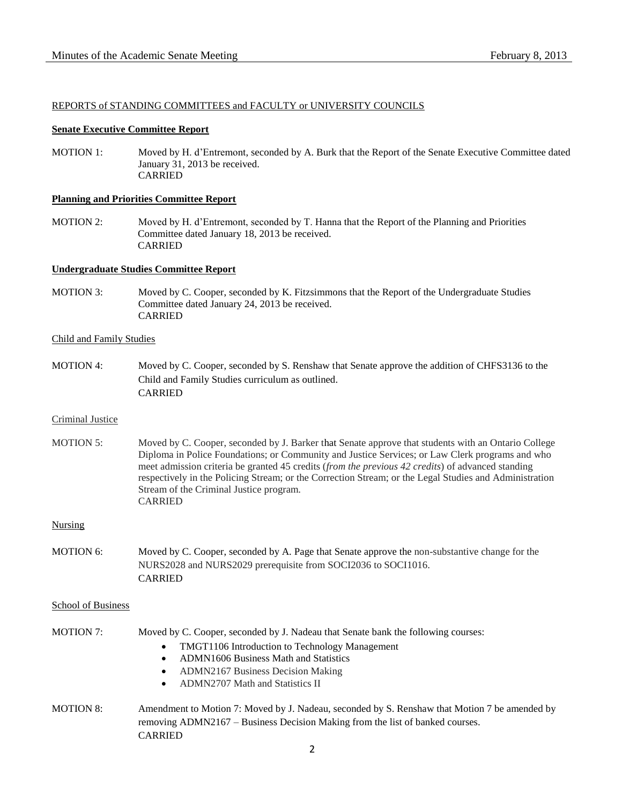## REPORTS of STANDING COMMITTEES and FACULTY or UNIVERSITY COUNCILS

### **Senate Executive Committee Report**

MOTION 1: Moved by H. d'Entremont, seconded by A. Burk that the Report of the Senate Executive Committee dated January 31, 2013 be received. CARRIED

### **Planning and Priorities Committee Report**

MOTION 2: Moved by H. d'Entremont, seconded by T. Hanna that the Report of the Planning and Priorities Committee dated January 18, 2013 be received. CARRIED

## **Undergraduate Studies Committee Report**

MOTION 3: Moved by C. Cooper, seconded by K. Fitzsimmons that the Report of the Undergraduate Studies Committee dated January 24, 2013 be received. CARRIED

### Child and Family Studies

MOTION 4: Moved by C. Cooper, seconded by S. Renshaw that Senate approve the addition of CHFS3136 to the Child and Family Studies curriculum as outlined. CARRIED

### Criminal Justice

MOTION 5: Moved by C. Cooper, seconded by J. Barker that Senate approve that students with an Ontario College Diploma in Police Foundations; or Community and Justice Services; or Law Clerk programs and who meet admission criteria be granted 45 credits (*from the previous 42 credits*) of advanced standing respectively in the Policing Stream; or the Correction Stream; or the Legal Studies and Administration Stream of the Criminal Justice program. CARRIED

### Nursing

MOTION 6: Moved by C. Cooper, seconded by A. Page that Senate approve the non-substantive change for the NURS2028 and NURS2029 prerequisite from SOCI2036 to SOCI1016. CARRIED

### School of Business

| <b>MOTION 7:</b> |  | Moved by C. Cooper, seconded by J. Nadeau that Senate bank the following courses: |
|------------------|--|-----------------------------------------------------------------------------------|
|------------------|--|-----------------------------------------------------------------------------------|

- TMGT1106 Introduction to Technology Management
- ADMN1606 Business Math and Statistics
- ADMN2167 Business Decision Making
- ADMN2707 Math and Statistics II
- MOTION 8: Amendment to Motion 7: Moved by J. Nadeau, seconded by S. Renshaw that Motion 7 be amended by removing ADMN2167 – Business Decision Making from the list of banked courses. **CARRIED**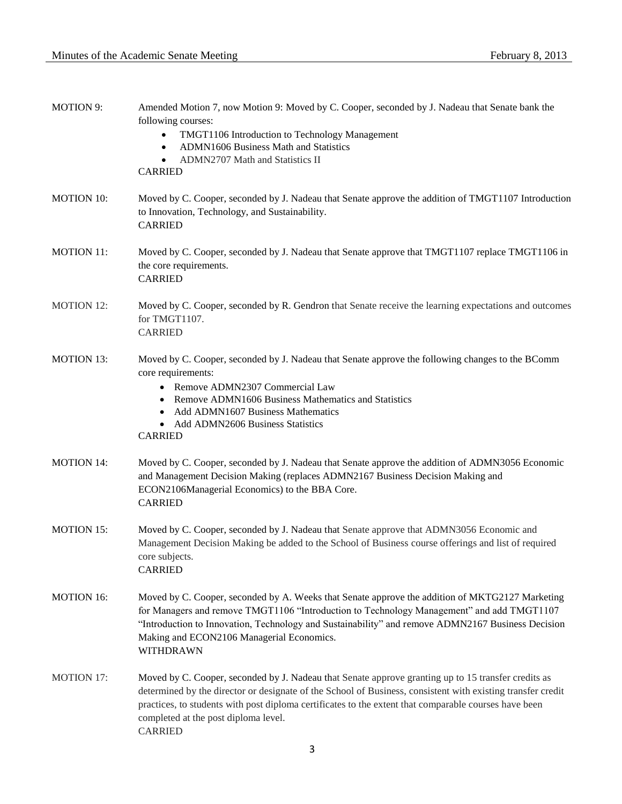| <b>MOTION 9:</b>  | Amended Motion 7, now Motion 9: Moved by C. Cooper, seconded by J. Nadeau that Senate bank the<br>following courses:<br>TMGT1106 Introduction to Technology Management<br>ADMN1606 Business Math and Statistics<br>ADMN2707 Math and Statistics II<br><b>CARRIED</b>                                                                                                                  |
|-------------------|---------------------------------------------------------------------------------------------------------------------------------------------------------------------------------------------------------------------------------------------------------------------------------------------------------------------------------------------------------------------------------------|
| <b>MOTION 10:</b> | Moved by C. Cooper, seconded by J. Nadeau that Senate approve the addition of TMGT1107 Introduction<br>to Innovation, Technology, and Sustainability.<br><b>CARRIED</b>                                                                                                                                                                                                               |
| <b>MOTION 11:</b> | Moved by C. Cooper, seconded by J. Nadeau that Senate approve that TMGT1107 replace TMGT1106 in<br>the core requirements.<br><b>CARRIED</b>                                                                                                                                                                                                                                           |
| <b>MOTION 12:</b> | Moved by C. Cooper, seconded by R. Gendron that Senate receive the learning expectations and outcomes<br>for TMGT1107.<br><b>CARRIED</b>                                                                                                                                                                                                                                              |
| <b>MOTION 13:</b> | Moved by C. Cooper, seconded by J. Nadeau that Senate approve the following changes to the BComm<br>core requirements:<br>• Remove ADMN2307 Commercial Law<br>• Remove ADMN1606 Business Mathematics and Statistics<br>• Add ADMN1607 Business Mathematics<br>• Add ADMN2606 Business Statistics<br><b>CARRIED</b>                                                                    |
| <b>MOTION 14:</b> | Moved by C. Cooper, seconded by J. Nadeau that Senate approve the addition of ADMN3056 Economic<br>and Management Decision Making (replaces ADMN2167 Business Decision Making and<br>ECON2106Managerial Economics) to the BBA Core.<br><b>CARRIED</b>                                                                                                                                 |
| <b>MOTION 15:</b> | Moved by C. Cooper, seconded by J. Nadeau that Senate approve that ADMN3056 Economic and<br>Management Decision Making be added to the School of Business course offerings and list of required<br>core subjects.<br><b>CARRIED</b>                                                                                                                                                   |
| <b>MOTION 16:</b> | Moved by C. Cooper, seconded by A. Weeks that Senate approve the addition of MKTG2127 Marketing<br>for Managers and remove TMGT1106 "Introduction to Technology Management" and add TMGT1107<br>"Introduction to Innovation, Technology and Sustainability" and remove ADMN2167 Business Decision<br>Making and ECON2106 Managerial Economics.<br><b>WITHDRAWN</b>                    |
| <b>MOTION 17:</b> | Moved by C. Cooper, seconded by J. Nadeau that Senate approve granting up to 15 transfer credits as<br>determined by the director or designate of the School of Business, consistent with existing transfer credit<br>practices, to students with post diploma certificates to the extent that comparable courses have been<br>completed at the post diploma level.<br><b>CARRIED</b> |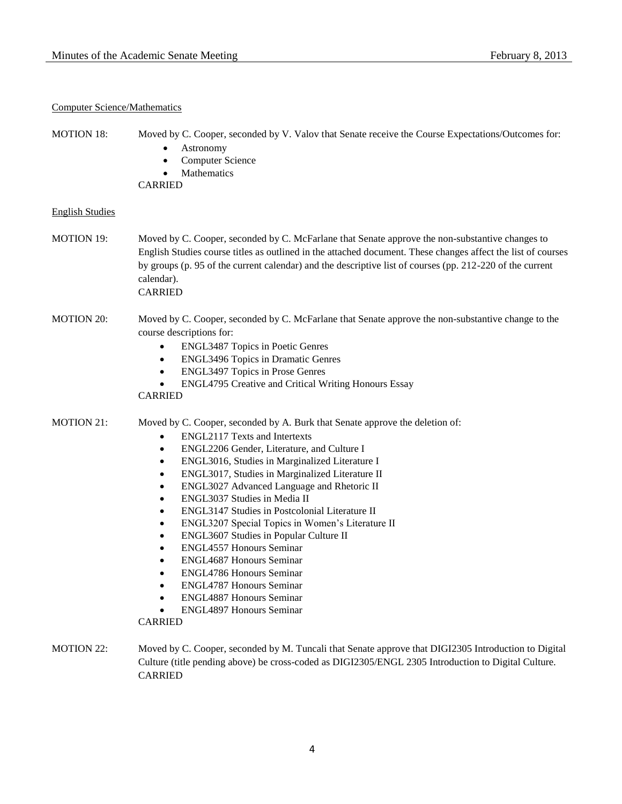# Computer Science/Mathematics

| <b>MOTION 18:</b>      | Moved by C. Cooper, seconded by V. Valov that Senate receive the Course Expectations/Outcomes for:<br>Astronomy<br>٠<br><b>Computer Science</b><br>$\bullet$<br>Mathematics<br><b>CARRIED</b>                                                                                                                                                                                                                                                                                                                                                                                                                                                                                                                                                                                                                                                                                                         |
|------------------------|-------------------------------------------------------------------------------------------------------------------------------------------------------------------------------------------------------------------------------------------------------------------------------------------------------------------------------------------------------------------------------------------------------------------------------------------------------------------------------------------------------------------------------------------------------------------------------------------------------------------------------------------------------------------------------------------------------------------------------------------------------------------------------------------------------------------------------------------------------------------------------------------------------|
| <b>English Studies</b> |                                                                                                                                                                                                                                                                                                                                                                                                                                                                                                                                                                                                                                                                                                                                                                                                                                                                                                       |
| <b>MOTION 19:</b>      | Moved by C. Cooper, seconded by C. McFarlane that Senate approve the non-substantive changes to<br>English Studies course titles as outlined in the attached document. These changes affect the list of courses<br>by groups (p. 95 of the current calendar) and the descriptive list of courses (pp. 212-220 of the current<br>calendar).<br><b>CARRIED</b>                                                                                                                                                                                                                                                                                                                                                                                                                                                                                                                                          |
| <b>MOTION 20:</b>      | Moved by C. Cooper, seconded by C. McFarlane that Senate approve the non-substantive change to the<br>course descriptions for:<br><b>ENGL3487 Topics in Poetic Genres</b><br>$\bullet$<br><b>ENGL3496 Topics in Dramatic Genres</b><br>$\bullet$<br>ENGL3497 Topics in Prose Genres<br>$\bullet$<br>ENGL4795 Creative and Critical Writing Honours Essay<br>$\bullet$<br><b>CARRIED</b>                                                                                                                                                                                                                                                                                                                                                                                                                                                                                                               |
| <b>MOTION 21:</b>      | Moved by C. Cooper, seconded by A. Burk that Senate approve the deletion of:<br><b>ENGL2117 Texts and Intertexts</b><br>$\bullet$<br>ENGL2206 Gender, Literature, and Culture I<br>$\bullet$<br>ENGL3016, Studies in Marginalized Literature I<br>$\bullet$<br>ENGL3017, Studies in Marginalized Literature II<br>$\bullet$<br>ENGL3027 Advanced Language and Rhetoric II<br>$\bullet$<br>ENGL3037 Studies in Media II<br>$\bullet$<br>ENGL3147 Studies in Postcolonial Literature II<br>$\bullet$<br>ENGL3207 Special Topics in Women's Literature II<br>$\bullet$<br>ENGL3607 Studies in Popular Culture II<br>$\bullet$<br><b>ENGL4557 Honours Seminar</b><br>$\bullet$<br><b>ENGL4687 Honours Seminar</b><br>$\bullet$<br><b>ENGL4786 Honours Seminar</b><br>$\bullet$<br><b>ENGL4787 Honours Seminar</b><br><b>ENGL4887 Honours Seminar</b><br><b>ENGL4897 Honours Seminar</b><br><b>CARRIED</b> |
| <b>MOTION 22:</b>      | Moved by C. Cooper, seconded by M. Tuncali that Senate approve that DIGI2305 Introduction to Digital<br>Culture (title pending above) be cross-coded as DIGI2305/ENGL 2305 Introduction to Digital Culture.<br><b>CARRIED</b>                                                                                                                                                                                                                                                                                                                                                                                                                                                                                                                                                                                                                                                                         |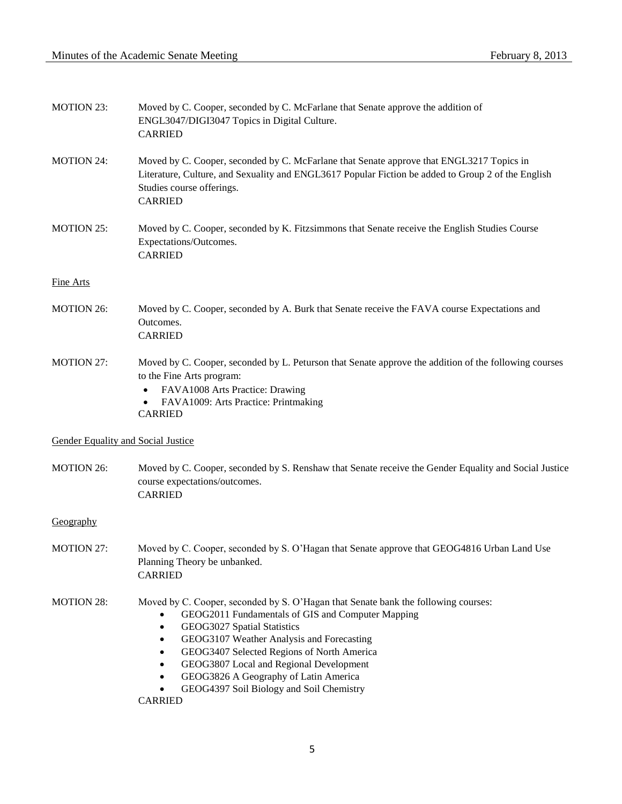| <b>MOTION 23:</b>                         | Moved by C. Cooper, seconded by C. McFarlane that Senate approve the addition of<br>ENGL3047/DIGI3047 Topics in Digital Culture.<br><b>CARRIED</b>                                                                                                                                                                                                                                                                               |
|-------------------------------------------|----------------------------------------------------------------------------------------------------------------------------------------------------------------------------------------------------------------------------------------------------------------------------------------------------------------------------------------------------------------------------------------------------------------------------------|
| <b>MOTION 24:</b>                         | Moved by C. Cooper, seconded by C. McFarlane that Senate approve that ENGL3217 Topics in<br>Literature, Culture, and Sexuality and ENGL3617 Popular Fiction be added to Group 2 of the English<br>Studies course offerings.<br><b>CARRIED</b>                                                                                                                                                                                    |
| <b>MOTION 25:</b>                         | Moved by C. Cooper, seconded by K. Fitzsimmons that Senate receive the English Studies Course<br>Expectations/Outcomes.<br><b>CARRIED</b>                                                                                                                                                                                                                                                                                        |
| <b>Fine Arts</b>                          |                                                                                                                                                                                                                                                                                                                                                                                                                                  |
| <b>MOTION 26:</b>                         | Moved by C. Cooper, seconded by A. Burk that Senate receive the FAVA course Expectations and<br>Outcomes.<br><b>CARRIED</b>                                                                                                                                                                                                                                                                                                      |
| <b>MOTION 27:</b>                         | Moved by C. Cooper, seconded by L. Peturson that Senate approve the addition of the following courses<br>to the Fine Arts program:<br>FAVA1008 Arts Practice: Drawing<br>FAVA1009: Arts Practice: Printmaking<br><b>CARRIED</b>                                                                                                                                                                                                  |
| <b>Gender Equality and Social Justice</b> |                                                                                                                                                                                                                                                                                                                                                                                                                                  |
| <b>MOTION 26:</b>                         | Moved by C. Cooper, seconded by S. Renshaw that Senate receive the Gender Equality and Social Justice<br>course expectations/outcomes.<br><b>CARRIED</b>                                                                                                                                                                                                                                                                         |
| Geography                                 |                                                                                                                                                                                                                                                                                                                                                                                                                                  |
| <b>MOTION 27:</b>                         | Moved by C. Cooper, seconded by S. O'Hagan that Senate approve that GEOG4816 Urban Land Use<br>Planning Theory be unbanked.<br><b>CARRIED</b>                                                                                                                                                                                                                                                                                    |
| <b>MOTION 28:</b>                         | Moved by C. Cooper, seconded by S. O'Hagan that Senate bank the following courses:<br>GEOG2011 Fundamentals of GIS and Computer Mapping<br>GEOG3027 Spatial Statistics<br>$\bullet$<br>GEOG3107 Weather Analysis and Forecasting<br>GEOG3407 Selected Regions of North America<br>GEOG3807 Local and Regional Development<br>GEOG3826 A Geography of Latin America<br>GEOG4397 Soil Biology and Soil Chemistry<br><b>CARRIED</b> |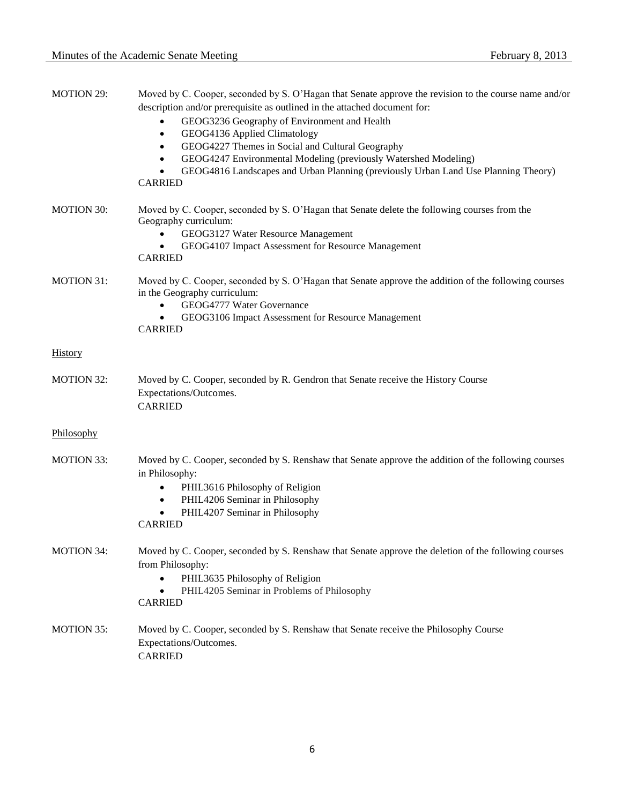| <b>MOTION 29:</b> | Moved by C. Cooper, seconded by S. O'Hagan that Senate approve the revision to the course name and/or<br>description and/or prerequisite as outlined in the attached document for:<br>GEOG3236 Geography of Environment and Health<br>GEOG4136 Applied Climatology<br>$\bullet$<br>GEOG4227 Themes in Social and Cultural Geography<br>٠<br>GEOG4247 Environmental Modeling (previously Watershed Modeling)<br>$\bullet$<br>GEOG4816 Landscapes and Urban Planning (previously Urban Land Use Planning Theory)<br><b>CARRIED</b> |
|-------------------|----------------------------------------------------------------------------------------------------------------------------------------------------------------------------------------------------------------------------------------------------------------------------------------------------------------------------------------------------------------------------------------------------------------------------------------------------------------------------------------------------------------------------------|
| <b>MOTION 30:</b> | Moved by C. Cooper, seconded by S. O'Hagan that Senate delete the following courses from the<br>Geography curriculum:<br>GEOG3127 Water Resource Management<br>GEOG4107 Impact Assessment for Resource Management<br>$\bullet$<br><b>CARRIED</b>                                                                                                                                                                                                                                                                                 |
| <b>MOTION 31:</b> | Moved by C. Cooper, seconded by S. O'Hagan that Senate approve the addition of the following courses<br>in the Geography curriculum:<br>GEOG4777 Water Governance<br>GEOG3106 Impact Assessment for Resource Management<br><b>CARRIED</b>                                                                                                                                                                                                                                                                                        |
| <b>History</b>    |                                                                                                                                                                                                                                                                                                                                                                                                                                                                                                                                  |
| <b>MOTION 32:</b> | Moved by C. Cooper, seconded by R. Gendron that Senate receive the History Course<br>Expectations/Outcomes.<br><b>CARRIED</b>                                                                                                                                                                                                                                                                                                                                                                                                    |
| Philosophy        |                                                                                                                                                                                                                                                                                                                                                                                                                                                                                                                                  |
| <b>MOTION 33:</b> | Moved by C. Cooper, seconded by S. Renshaw that Senate approve the addition of the following courses<br>in Philosophy:<br>PHIL3616 Philosophy of Religion<br>٠<br>PHIL4206 Seminar in Philosophy<br>$\bullet$<br>PHIL4207 Seminar in Philosophy<br>٠<br><b>CARRIED</b>                                                                                                                                                                                                                                                           |
| <b>MOTION 34:</b> | Moved by C. Cooper, seconded by S. Renshaw that Senate approve the deletion of the following courses<br>from Philosophy:<br>PHIL3635 Philosophy of Religion<br>PHIL4205 Seminar in Problems of Philosophy<br><b>CARRIED</b>                                                                                                                                                                                                                                                                                                      |
| <b>MOTION 35:</b> | Moved by C. Cooper, seconded by S. Renshaw that Senate receive the Philosophy Course<br>Expectations/Outcomes.<br><b>CARRIED</b>                                                                                                                                                                                                                                                                                                                                                                                                 |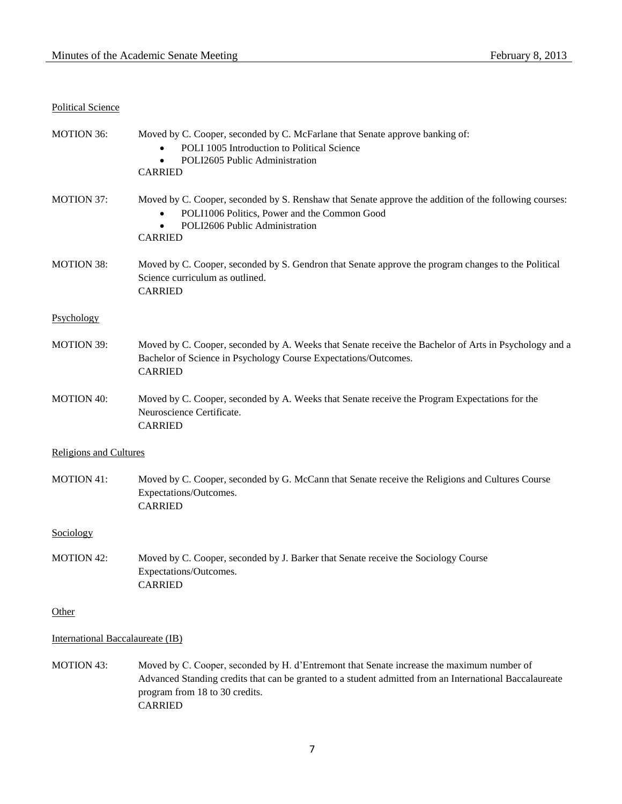# Political Science

| <b>MOTION 36:</b>                | Moved by C. Cooper, seconded by C. McFarlane that Senate approve banking of:<br>POLI 1005 Introduction to Political Science<br>POLI2605 Public Administration<br>$\bullet$<br><b>CARRIED</b>                                                             |
|----------------------------------|----------------------------------------------------------------------------------------------------------------------------------------------------------------------------------------------------------------------------------------------------------|
| <b>MOTION 37:</b>                | Moved by C. Cooper, seconded by S. Renshaw that Senate approve the addition of the following courses:<br>POLI1006 Politics, Power and the Common Good<br>POLI2606 Public Administration<br>$\bullet$<br><b>CARRIED</b>                                   |
| <b>MOTION 38:</b>                | Moved by C. Cooper, seconded by S. Gendron that Senate approve the program changes to the Political<br>Science curriculum as outlined.<br><b>CARRIED</b>                                                                                                 |
| Psychology                       |                                                                                                                                                                                                                                                          |
| <b>MOTION 39:</b>                | Moved by C. Cooper, seconded by A. Weeks that Senate receive the Bachelor of Arts in Psychology and a<br>Bachelor of Science in Psychology Course Expectations/Outcomes.<br><b>CARRIED</b>                                                               |
| <b>MOTION 40:</b>                | Moved by C. Cooper, seconded by A. Weeks that Senate receive the Program Expectations for the<br>Neuroscience Certificate.<br><b>CARRIED</b>                                                                                                             |
| <b>Religions and Cultures</b>    |                                                                                                                                                                                                                                                          |
| <b>MOTION 41:</b>                | Moved by C. Cooper, seconded by G. McCann that Senate receive the Religions and Cultures Course<br>Expectations/Outcomes.<br><b>CARRIED</b>                                                                                                              |
| Sociology                        |                                                                                                                                                                                                                                                          |
| <b>MOTION 42:</b>                | Moved by C. Cooper, seconded by J. Barker that Senate receive the Sociology Course<br>Expectations/Outcomes.<br><b>CARRIED</b>                                                                                                                           |
| Other                            |                                                                                                                                                                                                                                                          |
| International Baccalaureate (IB) |                                                                                                                                                                                                                                                          |
| <b>MOTION 43:</b>                | Moved by C. Cooper, seconded by H. d'Entremont that Senate increase the maximum number of<br>Advanced Standing credits that can be granted to a student admitted from an International Baccalaureate<br>program from 18 to 30 credits.<br><b>CARRIED</b> |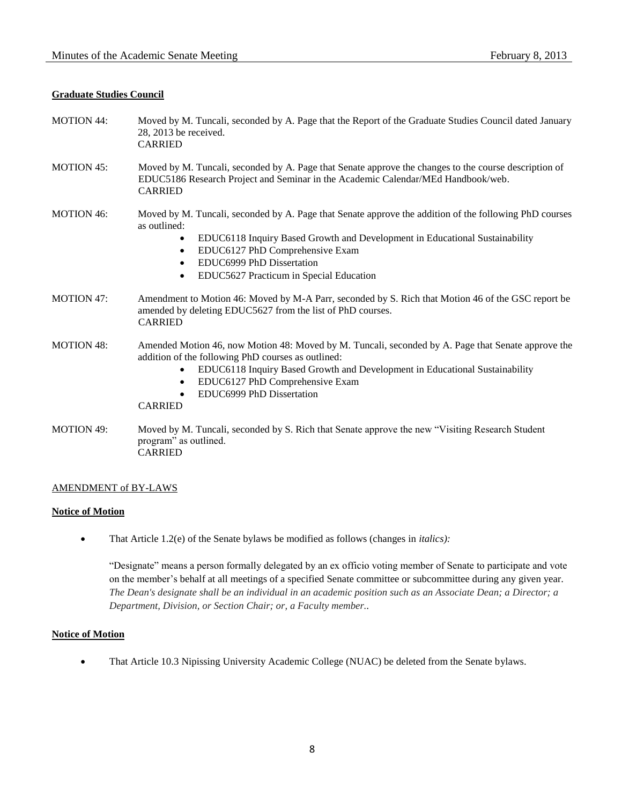## **Graduate Studies Council**

| <b>MOTION 44:</b> | Moved by M. Tuncali, seconded by A. Page that the Report of the Graduate Studies Council dated January<br>28, 2013 be received.<br><b>CARRIED</b>                                                                                                                                                                                                   |
|-------------------|-----------------------------------------------------------------------------------------------------------------------------------------------------------------------------------------------------------------------------------------------------------------------------------------------------------------------------------------------------|
| <b>MOTION 45:</b> | Moved by M. Tuncali, seconded by A. Page that Senate approve the changes to the course description of<br>EDUC5186 Research Project and Seminar in the Academic Calendar/MEd Handbook/web.<br><b>CARRIED</b>                                                                                                                                         |
| <b>MOTION 46:</b> | Moved by M. Tuncali, seconded by A. Page that Senate approve the addition of the following PhD courses<br>as outlined:<br>EDUC6118 Inquiry Based Growth and Development in Educational Sustainability<br>$\bullet$<br>EDUC6127 PhD Comprehensive Exam<br>٠<br>EDUC6999 PhD Dissertation<br>$\bullet$<br>EDUC5627 Practicum in Special Education     |
| <b>MOTION 47:</b> | Amendment to Motion 46: Moved by M-A Parr, seconded by S. Rich that Motion 46 of the GSC report be<br>amended by deleting EDUC5627 from the list of PhD courses.<br><b>CARRIED</b>                                                                                                                                                                  |
| <b>MOTION 48:</b> | Amended Motion 46, now Motion 48: Moved by M. Tuncali, seconded by A. Page that Senate approve the<br>addition of the following PhD courses as outlined:<br>EDUC6118 Inquiry Based Growth and Development in Educational Sustainability<br>$\bullet$<br>EDUC6127 PhD Comprehensive Exam<br>$\bullet$<br>EDUC6999 PhD Dissertation<br><b>CARRIED</b> |
| <b>MOTION 49:</b> | Moved by M. Tuncali, seconded by S. Rich that Senate approve the new "Visiting Research Student"<br>program" as outlined.<br><b>CARRIED</b>                                                                                                                                                                                                         |

## AMENDMENT of BY-LAWS

## **Notice of Motion**

That Article 1.2(e) of the Senate bylaws be modified as follows (changes in *italics):*

"Designate" means a person formally delegated by an ex officio voting member of Senate to participate and vote on the member's behalf at all meetings of a specified Senate committee or subcommittee during any given year. *The Dean's designate shall be an individual in an academic position such as an Associate Dean; a Director; a Department, Division, or Section Chair; or, a Faculty member..*

## **Notice of Motion**

That Article 10.3 Nipissing University Academic College (NUAC) be deleted from the Senate bylaws.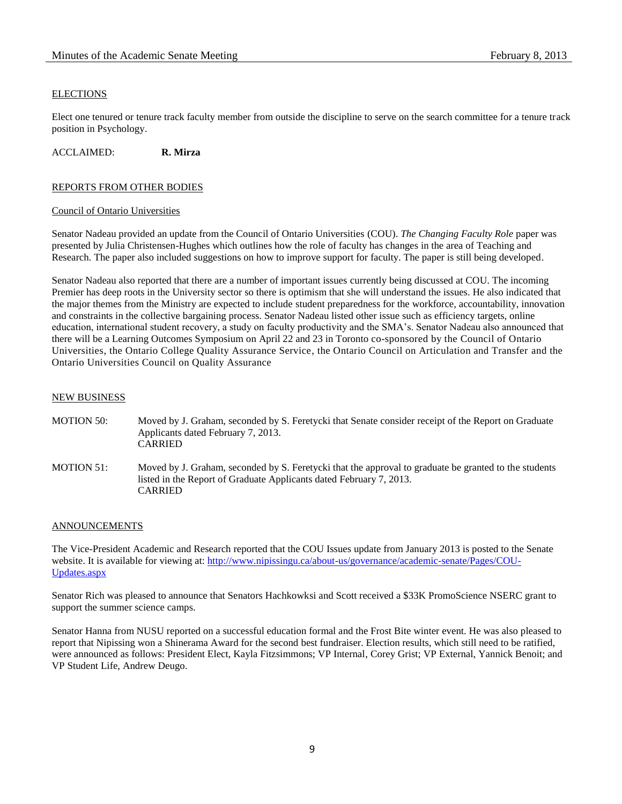## **ELECTIONS**

Elect one tenured or tenure track faculty member from outside the discipline to serve on the search committee for a tenure track position in Psychology.

ACCLAIMED: **R. Mirza**

## REPORTS FROM OTHER BODIES

### Council of Ontario Universities

Senator Nadeau provided an update from the Council of Ontario Universities (COU). *The Changing Faculty Role* paper was presented by Julia Christensen-Hughes which outlines how the role of faculty has changes in the area of Teaching and Research. The paper also included suggestions on how to improve support for faculty. The paper is still being developed.

Senator Nadeau also reported that there are a number of important issues currently being discussed at COU. The incoming Premier has deep roots in the University sector so there is optimism that she will understand the issues. He also indicated that the major themes from the Ministry are expected to include student preparedness for the workforce, accountability, innovation and constraints in the collective bargaining process. Senator Nadeau listed other issue such as efficiency targets, online education, international student recovery, a study on faculty productivity and the SMA's. Senator Nadeau also announced that there will be a Learning Outcomes Symposium on April 22 and 23 in Toronto co-sponsored by the Council of Ontario Universities, the Ontario College Quality Assurance Service, the Ontario Council on Articulation and Transfer and the Ontario Universities Council on Quality Assurance

### NEW BUSINESS

MOTION 50: Moved by J. Graham, seconded by S. Feretycki that Senate consider receipt of the Report on Graduate Applicants dated February 7, 2013. CARRIED MOTION 51: Moved by J. Graham, seconded by S. Feretycki that the approval to graduate be granted to the students listed in the Report of Graduate Applicants dated February 7, 2013. CARRIED

### ANNOUNCEMENTS

The Vice-President Academic and Research reported that the COU Issues update from January 2013 is posted to the Senate website. It is available for viewing at: [http://www.nipissingu.ca/about-us/governance/academic-senate/Pages/COU-](http://www.nipissingu.ca/about-us/governance/academic-senate/Pages/COU-Updates.aspx)[Updates.aspx](http://www.nipissingu.ca/about-us/governance/academic-senate/Pages/COU-Updates.aspx)

Senator Rich was pleased to announce that Senators Hachkowksi and Scott received a \$33K PromoScience NSERC grant to support the summer science camps.

Senator Hanna from NUSU reported on a successful education formal and the Frost Bite winter event. He was also pleased to report that Nipissing won a Shinerama Award for the second best fundraiser. Election results, which still need to be ratified, were announced as follows: President Elect, Kayla Fitzsimmons; VP Internal, Corey Grist; VP External, Yannick Benoit; and VP Student Life, Andrew Deugo.